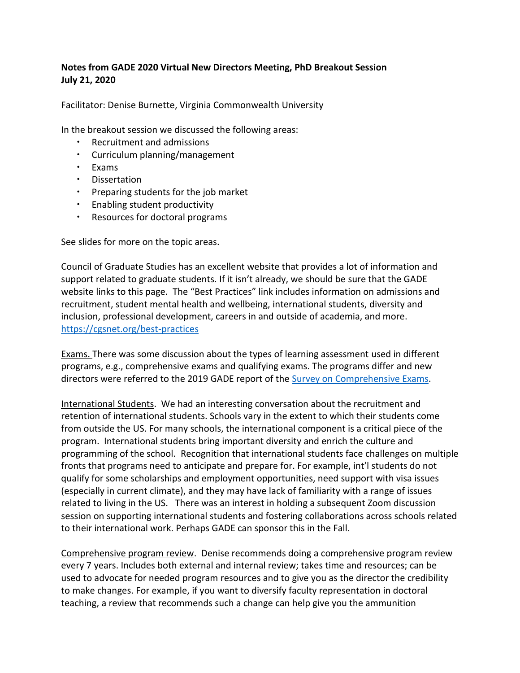# **Notes from GADE 2020 Virtual New Directors Meeting, PhD Breakout Session July 21, 2020**

Facilitator: Denise Burnette, Virginia Commonwealth University

In the breakout session we discussed the following areas:

- Recruitment and admissions
- Curriculum planning/management
- Exams
- Dissertation
- Preparing students for the job market
- **Enabling student productivity**
- Resources for doctoral programs

See slides for more on the topic areas.

Council of Graduate Studies has an excellent website that provides a lot of information and support related to graduate students. If it isn't already, we should be sure that the GADE website links to this page. The "Best Practices" link includes information on admissions and recruitment, student mental health and wellbeing, international students, diversity and inclusion, professional development, careers in and outside of academia, and more. <https://cgsnet.org/best-practices>

Exams. There was some discussion about the types of learning assessment used in different programs, e.g., comprehensive exams and qualifying exams. The programs differ and new directors were referred to the 2019 GADE report of the [Survey on Comprehensive Exams.](https://www.gadephd.org/Portals/0/docs/Gade%20Comprehensive%20and%20Qualifying%20Exam%20Report.pdf?ver=2019-04-12-143857-003)

International Students. We had an interesting conversation about the recruitment and retention of international students. Schools vary in the extent to which their students come from outside the US. For many schools, the international component is a critical piece of the program. International students bring important diversity and enrich the culture and programming of the school. Recognition that international students face challenges on multiple fronts that programs need to anticipate and prepare for. For example, int'l students do not qualify for some scholarships and employment opportunities, need support with visa issues (especially in current climate), and they may have lack of familiarity with a range of issues related to living in the US. There was an interest in holding a subsequent Zoom discussion session on supporting international students and fostering collaborations across schools related to their international work. Perhaps GADE can sponsor this in the Fall.

Comprehensive program review. Denise recommends doing a comprehensive program review every 7 years. Includes both external and internal review; takes time and resources; can be used to advocate for needed program resources and to give you as the director the credibility to make changes. For example, if you want to diversify faculty representation in doctoral teaching, a review that recommends such a change can help give you the ammunition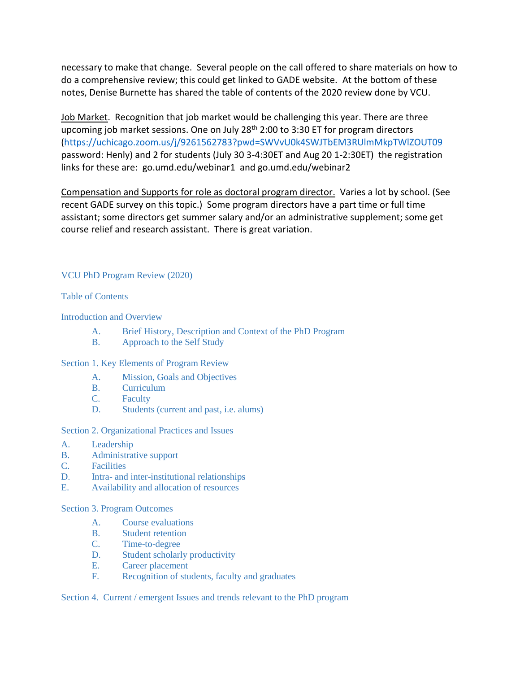necessary to make that change. Several people on the call offered to share materials on how to do a comprehensive review; this could get linked to GADE website. At the bottom of these notes, Denise Burnette has shared the table of contents of the 2020 review done by VCU.

Job Market. Recognition that job market would be challenging this year. There are three upcoming job market sessions. One on July  $28<sup>th</sup>$  2:00 to 3:30 ET for program directors [\(https://uchicago.zoom.us/j/9261562783?pwd=SWVvU0k4SWJTbEM3RUlmMkpTWlZOUT09](https://uchicago.zoom.us/j/9261562783?pwd=SWVvU0k4SWJTbEM3RUlmMkpTWlZOUT09) password: Henly) and 2 for students (July 30 3-4:30ET and Aug 20 1-2:30ET) the registration links for these are: go.umd.edu/webinar1 and go.umd.edu/webinar2

Compensation and Supports for role as doctoral program director. Varies a lot by school. (See recent GADE survey on this topic.) Some program directors have a part time or full time assistant; some directors get summer salary and/or an administrative supplement; some get course relief and research assistant. There is great variation.

## VCU PhD Program Review (2020)

## Table of Contents

Introduction and Overview

- A. Brief History, Description and Context of the PhD Program
- B. Approach to the Self Study

### Section 1. Key Elements of Program Review

- A. Mission, Goals and Objectives
- B. Curriculum
- C. Faculty
- D. Students (current and past, i.e. alums)

Section 2. Organizational Practices and Issues

- A. Leadership
- B. Administrative support
- C. Facilities
- D. Intra- and inter-institutional relationships
- E. Availability and allocation of resources

### Section 3. Program Outcomes

- A. Course evaluations
- B. Student retention
- C. Time-to-degree
- D. Student scholarly productivity
- E. Career placement
- F. Recognition of students, faculty and graduates

Section 4. Current / emergent Issues and trends relevant to the PhD program